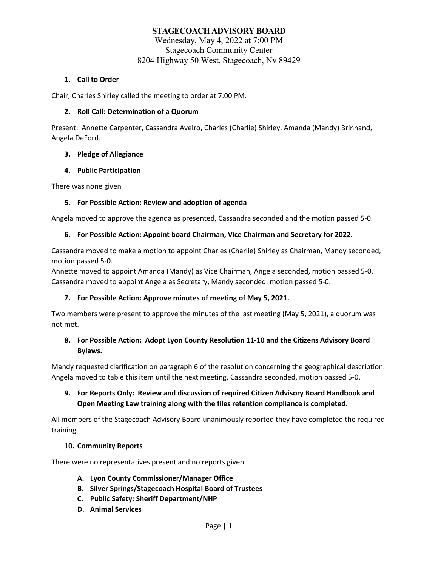# **STAGECOACH ADVISORY BOARD**

Wednesday, May 4, 2022 at 7:00 PM Stagecoach Community Center 8204 Highway 50 West, Stagecoach, Nv 89429

#### **1. Call to Order**

Chair, Charles Shirley called the meeting to order at 7:00 PM.

#### **2. Roll Call: Determination of a Quorum**

Present: Annette Carpenter, Cassandra Aveiro, Charles (Charlie) Shirley, Amanda (Mandy) Brinnand, Angela DeFord.

#### **3. Pledge of Allegiance**

#### **4. Public Participation**

There was none given

## **5. For Possible Action: Review and adoption of agenda**

Angela moved to approve the agenda as presented, Cassandra seconded and the motion passed 5-0.

#### **6. For Possible Action: Appoint board Chairman, Vice Chairman and Secretary for 2022.**

Cassandra moved to make a motion to appoint Charles (Charlie) Shirley as Chairman, Mandy seconded, motion passed 5-0.

Annette moved to appoint Amanda (Mandy) as Vice Chairman, Angela seconded, motion passed 5-0. Cassandra moved to appoint Angela as Secretary, Mandy seconded, motion passed 5-0.

## **7. For Possible Action: Approve minutes of meeting of May 5, 2021.**

Two members were present to approve the minutes of the last meeting (May 5, 2021), a quorum was not met.

## **8. For Possible Action: Adopt Lyon County Resolution 11-10 and the Citizens Advisory Board Bylaws.**

Mandy requested clarification on paragraph 6 of the resolution concerning the geographical description. Angela moved to table this item until the next meeting, Cassandra seconded, motion passed 5-0.

# **9. For Reports Only: Review and discussion of required Citizen Advisory Board Handbook and Open Meeting Law training along with the files retention compliance is completed.**

All members of the Stagecoach Advisory Board unanimously reported they have completed the required training.

## **10. Community Reports**

There were no representatives present and no reports given.

- **A. Lyon County Commissioner/Manager Office**
- **B. Silver Springs/Stagecoach Hospital Board of Trustees**
- **C. Public Safety: Sheriff Department/NHP**
- **D. Animal Services**